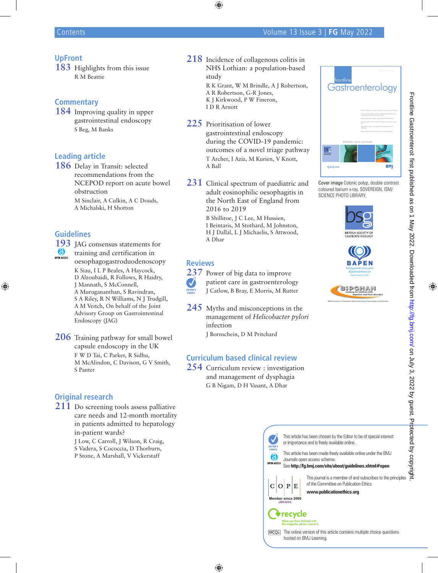## **UpFront**

**183** Highlights from this issue R M Beattie

#### **Commentary**

**184** Improving quality in upper gastrointestinal endoscopy S Beg, M Banks

## **Leading article**

**186** Delay in Transit: selected recommendations from the NCEPOD report on acute bowel obstruction M Sinclair, A Culkin, A C Douds, A Michalski, H Shotton

### **Guidelines**

**193** JAG consensus statements for **6** training and certification in oesophagogastroduodenoscopy K Siau, I L P Beales, A Haycock, D Alzoubaidi, R Follows, R Haidry, J Mannath, S McConnell, A Murugananthan, S Ravindran, S A Riley, R N Williams, N J Trudgill, A M Veitch, On behalf of the Joint Advisory Group on Gastrointestinal Endoscopy (JAG)

**206** Training pathway for small bowel capsule endoscopy in the UK F W D Tai, C Parker, R Sidhu, M McAlindon, C Davison, G V Smith, S Panter

# **Original research**

**211** Do screening tools assess palliative care needs and 12-month mortality in patients admitted to hepatology in-patient wards?

J Low, C Carroll, J Wilson, R Craig, S Vadera, S Cococcia, D Thorburn, P Stone, A Marshall, V Vickerstaff

- **218** Incidence of collagenous colitis in NHS Lothian: a population-based study R K Grant, W M Brindle, A J Robertson, A R Robertson, G-R Jones, K J Kirkwood, P W Fineron. I D R Arnott
- **225** Prioritisation of lower gastrointestinal endoscopy during the COVID-19 pandemic: outcomes of a novel triage pathway T Archer, I Aziz, M Kurien, V Knott, A Ball
- **231** Clinical spectrum of paediatric and adult eosinophilic oesophagitis in the North East of England from 2016 to 2019 B Shillitoe, J C Lee, M Hussien, I Beintaris, M Stothard, M Johnston, H J Dallal, L J Michaelis, S Attwood, A Dhar

#### **Reviews**

**237** Power of big data to improve  $\bm{J}$ patient care in gastroenterology J Catlow, B Bray, E Morris, M Rutter EDITOR'S

- **245** Myths and misconceptions in the management of *Helicobacter pylori*  infection
	- J Bornschein, D M Pritchard

## **Curriculum based clinical review**

**254** Curriculum review : investigation and management of dysphagia G B Nigam, D H Vasant, A Dhar



Cover image Colonic polyp, double contrast coloured barium x-ray. SOVEREIGN, ISM/ SCIENCE PHOTO LIBRARY.







This journal is a member of and subscribes to the principles

of the Committee on Publication Ethics **www.publicationethics.org**

This article has been made freely available online under the BMJ

This article has been chosen by the Editor to be of special interest

See **http://fg.bmj.com/site/about/guidelines.xhtml#open**

The online version of this article contains multiple choice questions

hosted on BMJ Learning.

**Member since 2009 JM04665**

'recycle

 $C|O|P|E$ 

 $\mathbf{v}$ 

 $\odot$ **OPEN ACCESS** 

Journals open access scheme.

or importance and is freely available online.